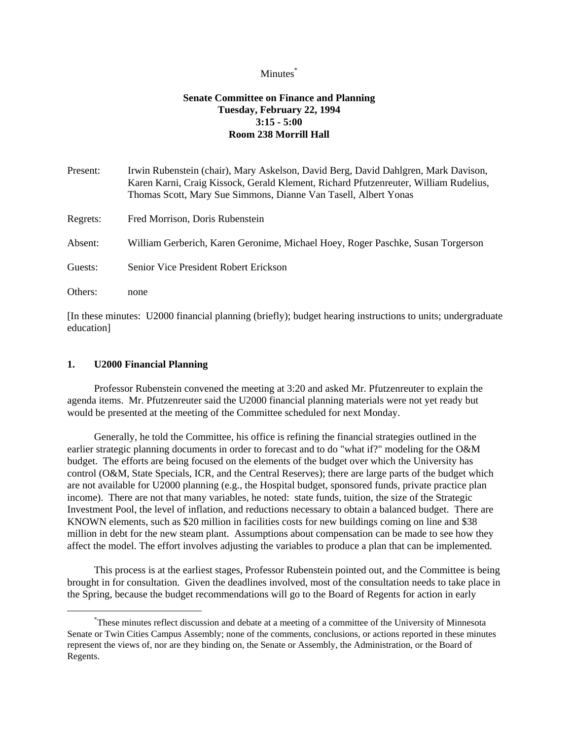## Minutes<sup>\*</sup>

# **Senate Committee on Finance and Planning Tuesday, February 22, 1994 3:15 - 5:00 Room 238 Morrill Hall**

| Irwin Rubenstein (chair), Mary Askelson, David Berg, David Dahlgren, Mark Davison,<br>Karen Karni, Craig Kissock, Gerald Klement, Richard Pfutzenreuter, William Rudelius,<br>Thomas Scott, Mary Sue Simmons, Dianne Van Tasell, Albert Yonas |
|-----------------------------------------------------------------------------------------------------------------------------------------------------------------------------------------------------------------------------------------------|
| Fred Morrison, Doris Rubenstein                                                                                                                                                                                                               |
| William Gerberich, Karen Geronime, Michael Hoey, Roger Paschke, Susan Torgerson                                                                                                                                                               |
| Senior Vice President Robert Erickson                                                                                                                                                                                                         |
| none                                                                                                                                                                                                                                          |
|                                                                                                                                                                                                                                               |

[In these minutes: U2000 financial planning (briefly); budget hearing instructions to units; undergraduate education]

## **1. U2000 Financial Planning**

i

 Professor Rubenstein convened the meeting at 3:20 and asked Mr. Pfutzenreuter to explain the agenda items. Mr. Pfutzenreuter said the U2000 financial planning materials were not yet ready but would be presented at the meeting of the Committee scheduled for next Monday.

 Generally, he told the Committee, his office is refining the financial strategies outlined in the earlier strategic planning documents in order to forecast and to do "what if?" modeling for the O&M budget. The efforts are being focused on the elements of the budget over which the University has control (O&M, State Specials, ICR, and the Central Reserves); there are large parts of the budget which are not available for U2000 planning (e.g., the Hospital budget, sponsored funds, private practice plan income). There are not that many variables, he noted: state funds, tuition, the size of the Strategic Investment Pool, the level of inflation, and reductions necessary to obtain a balanced budget. There are KNOWN elements, such as \$20 million in facilities costs for new buildings coming on line and \$38 million in debt for the new steam plant. Assumptions about compensation can be made to see how they affect the model. The effort involves adjusting the variables to produce a plan that can be implemented.

 This process is at the earliest stages, Professor Rubenstein pointed out, and the Committee is being brought in for consultation. Given the deadlines involved, most of the consultation needs to take place in the Spring, because the budget recommendations will go to the Board of Regents for action in early

<sup>\*</sup> These minutes reflect discussion and debate at a meeting of a committee of the University of Minnesota Senate or Twin Cities Campus Assembly; none of the comments, conclusions, or actions reported in these minutes represent the views of, nor are they binding on, the Senate or Assembly, the Administration, or the Board of Regents.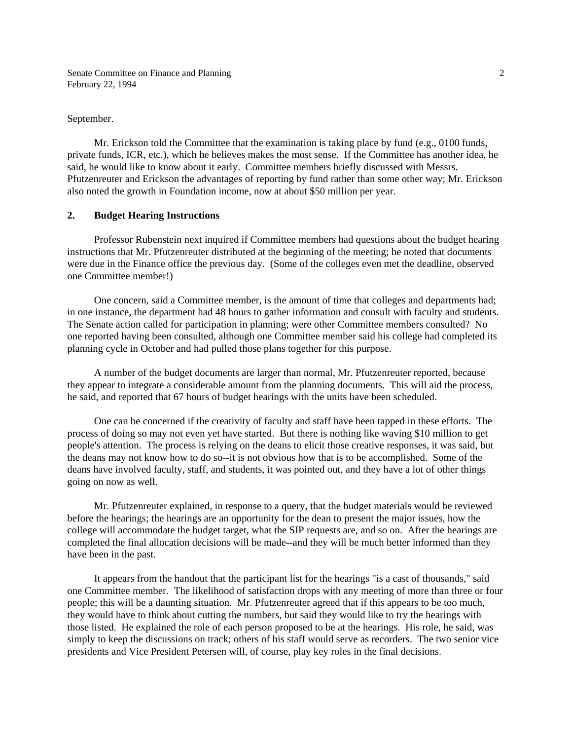Senate Committee on Finance and Planning February 22, 1994

September.

 Mr. Erickson told the Committee that the examination is taking place by fund (e.g., 0100 funds, private funds, ICR, etc.), which he believes makes the most sense. If the Committee has another idea, he said, he would like to know about it early. Committee members briefly discussed with Messrs. Pfutzenreuter and Erickson the advantages of reporting by fund rather than some other way; Mr. Erickson also noted the growth in Foundation income, now at about \$50 million per year.

## **2. Budget Hearing Instructions**

 Professor Rubenstein next inquired if Committee members had questions about the budget hearing instructions that Mr. Pfutzenreuter distributed at the beginning of the meeting; he noted that documents were due in the Finance office the previous day. (Some of the colleges even met the deadline, observed one Committee member!)

 One concern, said a Committee member, is the amount of time that colleges and departments had; in one instance, the department had 48 hours to gather information and consult with faculty and students. The Senate action called for participation in planning; were other Committee members consulted? No one reported having been consulted, although one Committee member said his college had completed its planning cycle in October and had pulled those plans together for this purpose.

 A number of the budget documents are larger than normal, Mr. Pfutzenreuter reported, because they appear to integrate a considerable amount from the planning documents. This will aid the process, he said, and reported that 67 hours of budget hearings with the units have been scheduled.

 One can be concerned if the creativity of faculty and staff have been tapped in these efforts. The process of doing so may not even yet have started. But there is nothing like waving \$10 million to get people's attention. The process is relying on the deans to elicit those creative responses, it was said, but the deans may not know how to do so--it is not obvious how that is to be accomplished. Some of the deans have involved faculty, staff, and students, it was pointed out, and they have a lot of other things going on now as well.

 Mr. Pfutzenreuter explained, in response to a query, that the budget materials would be reviewed before the hearings; the hearings are an opportunity for the dean to present the major issues, how the college will accommodate the budget target, what the SIP requests are, and so on. After the hearings are completed the final allocation decisions will be made--and they will be much better informed than they have been in the past.

 It appears from the handout that the participant list for the hearings "is a cast of thousands," said one Committee member. The likelihood of satisfaction drops with any meeting of more than three or four people; this will be a daunting situation. Mr. Pfutzenreuter agreed that if this appears to be too much, they would have to think about cutting the numbers, but said they would like to try the hearings with those listed. He explained the role of each person proposed to be at the hearings. His role, he said, was simply to keep the discussions on track; others of his staff would serve as recorders. The two senior vice presidents and Vice President Petersen will, of course, play key roles in the final decisions.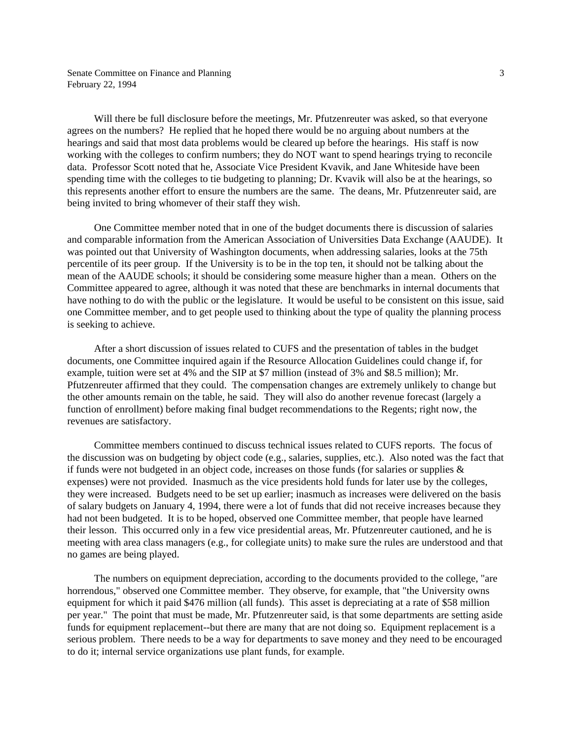Senate Committee on Finance and Planning February 22, 1994

 Will there be full disclosure before the meetings, Mr. Pfutzenreuter was asked, so that everyone agrees on the numbers? He replied that he hoped there would be no arguing about numbers at the hearings and said that most data problems would be cleared up before the hearings. His staff is now working with the colleges to confirm numbers; they do NOT want to spend hearings trying to reconcile data. Professor Scott noted that he, Associate Vice President Kvavik, and Jane Whiteside have been spending time with the colleges to tie budgeting to planning; Dr. Kvavik will also be at the hearings, so this represents another effort to ensure the numbers are the same. The deans, Mr. Pfutzenreuter said, are being invited to bring whomever of their staff they wish.

 One Committee member noted that in one of the budget documents there is discussion of salaries and comparable information from the American Association of Universities Data Exchange (AAUDE). It was pointed out that University of Washington documents, when addressing salaries, looks at the 75th percentile of its peer group. If the University is to be in the top ten, it should not be talking about the mean of the AAUDE schools; it should be considering some measure higher than a mean. Others on the Committee appeared to agree, although it was noted that these are benchmarks in internal documents that have nothing to do with the public or the legislature. It would be useful to be consistent on this issue, said one Committee member, and to get people used to thinking about the type of quality the planning process is seeking to achieve.

 After a short discussion of issues related to CUFS and the presentation of tables in the budget documents, one Committee inquired again if the Resource Allocation Guidelines could change if, for example, tuition were set at 4% and the SIP at \$7 million (instead of 3% and \$8.5 million); Mr. Pfutzenreuter affirmed that they could. The compensation changes are extremely unlikely to change but the other amounts remain on the table, he said. They will also do another revenue forecast (largely a function of enrollment) before making final budget recommendations to the Regents; right now, the revenues are satisfactory.

 Committee members continued to discuss technical issues related to CUFS reports. The focus of the discussion was on budgeting by object code (e.g., salaries, supplies, etc.). Also noted was the fact that if funds were not budgeted in an object code, increases on those funds (for salaries or supplies  $\&$ expenses) were not provided. Inasmuch as the vice presidents hold funds for later use by the colleges, they were increased. Budgets need to be set up earlier; inasmuch as increases were delivered on the basis of salary budgets on January 4, 1994, there were a lot of funds that did not receive increases because they had not been budgeted. It is to be hoped, observed one Committee member, that people have learned their lesson. This occurred only in a few vice presidential areas, Mr. Pfutzenreuter cautioned, and he is meeting with area class managers (e.g., for collegiate units) to make sure the rules are understood and that no games are being played.

 The numbers on equipment depreciation, according to the documents provided to the college, "are horrendous," observed one Committee member. They observe, for example, that "the University owns equipment for which it paid \$476 million (all funds). This asset is depreciating at a rate of \$58 million per year." The point that must be made, Mr. Pfutzenreuter said, is that some departments are setting aside funds for equipment replacement--but there are many that are not doing so. Equipment replacement is a serious problem. There needs to be a way for departments to save money and they need to be encouraged to do it; internal service organizations use plant funds, for example.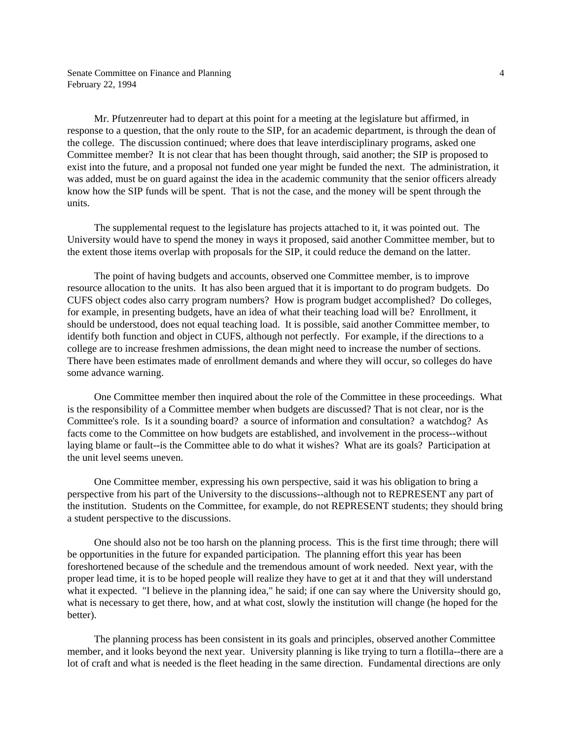Mr. Pfutzenreuter had to depart at this point for a meeting at the legislature but affirmed, in response to a question, that the only route to the SIP, for an academic department, is through the dean of the college. The discussion continued; where does that leave interdisciplinary programs, asked one Committee member? It is not clear that has been thought through, said another; the SIP is proposed to exist into the future, and a proposal not funded one year might be funded the next. The administration, it was added, must be on guard against the idea in the academic community that the senior officers already know how the SIP funds will be spent. That is not the case, and the money will be spent through the units.

 The supplemental request to the legislature has projects attached to it, it was pointed out. The University would have to spend the money in ways it proposed, said another Committee member, but to the extent those items overlap with proposals for the SIP, it could reduce the demand on the latter.

 The point of having budgets and accounts, observed one Committee member, is to improve resource allocation to the units. It has also been argued that it is important to do program budgets. Do CUFS object codes also carry program numbers? How is program budget accomplished? Do colleges, for example, in presenting budgets, have an idea of what their teaching load will be? Enrollment, it should be understood, does not equal teaching load. It is possible, said another Committee member, to identify both function and object in CUFS, although not perfectly. For example, if the directions to a college are to increase freshmen admissions, the dean might need to increase the number of sections. There have been estimates made of enrollment demands and where they will occur, so colleges do have some advance warning.

 One Committee member then inquired about the role of the Committee in these proceedings. What is the responsibility of a Committee member when budgets are discussed? That is not clear, nor is the Committee's role. Is it a sounding board? a source of information and consultation? a watchdog? As facts come to the Committee on how budgets are established, and involvement in the process--without laying blame or fault--is the Committee able to do what it wishes? What are its goals? Participation at the unit level seems uneven.

 One Committee member, expressing his own perspective, said it was his obligation to bring a perspective from his part of the University to the discussions--although not to REPRESENT any part of the institution. Students on the Committee, for example, do not REPRESENT students; they should bring a student perspective to the discussions.

 One should also not be too harsh on the planning process. This is the first time through; there will be opportunities in the future for expanded participation. The planning effort this year has been foreshortened because of the schedule and the tremendous amount of work needed. Next year, with the proper lead time, it is to be hoped people will realize they have to get at it and that they will understand what it expected. "I believe in the planning idea," he said; if one can say where the University should go, what is necessary to get there, how, and at what cost, slowly the institution will change (he hoped for the better).

 The planning process has been consistent in its goals and principles, observed another Committee member, and it looks beyond the next year. University planning is like trying to turn a flotilla--there are a lot of craft and what is needed is the fleet heading in the same direction. Fundamental directions are only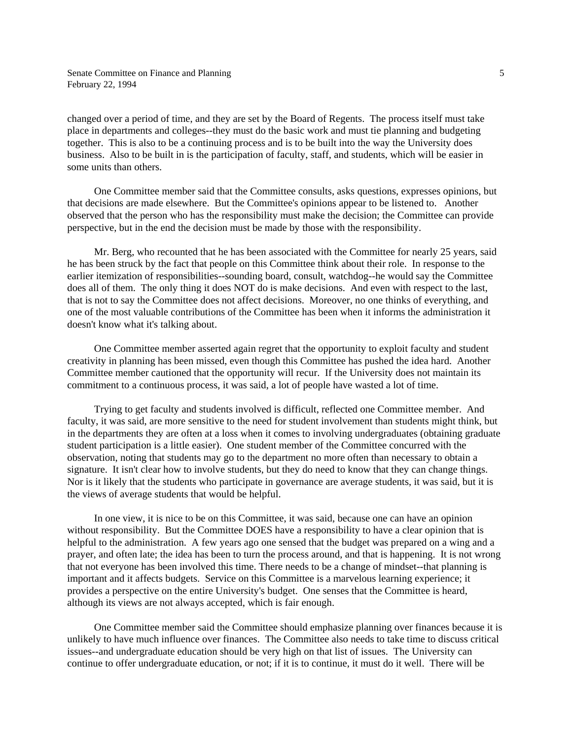changed over a period of time, and they are set by the Board of Regents. The process itself must take place in departments and colleges--they must do the basic work and must tie planning and budgeting together. This is also to be a continuing process and is to be built into the way the University does business. Also to be built in is the participation of faculty, staff, and students, which will be easier in some units than others.

 One Committee member said that the Committee consults, asks questions, expresses opinions, but that decisions are made elsewhere. But the Committee's opinions appear to be listened to. Another observed that the person who has the responsibility must make the decision; the Committee can provide perspective, but in the end the decision must be made by those with the responsibility.

 Mr. Berg, who recounted that he has been associated with the Committee for nearly 25 years, said he has been struck by the fact that people on this Committee think about their role. In response to the earlier itemization of responsibilities--sounding board, consult, watchdog--he would say the Committee does all of them. The only thing it does NOT do is make decisions. And even with respect to the last, that is not to say the Committee does not affect decisions. Moreover, no one thinks of everything, and one of the most valuable contributions of the Committee has been when it informs the administration it doesn't know what it's talking about.

 One Committee member asserted again regret that the opportunity to exploit faculty and student creativity in planning has been missed, even though this Committee has pushed the idea hard. Another Committee member cautioned that the opportunity will recur. If the University does not maintain its commitment to a continuous process, it was said, a lot of people have wasted a lot of time.

 Trying to get faculty and students involved is difficult, reflected one Committee member. And faculty, it was said, are more sensitive to the need for student involvement than students might think, but in the departments they are often at a loss when it comes to involving undergraduates (obtaining graduate student participation is a little easier). One student member of the Committee concurred with the observation, noting that students may go to the department no more often than necessary to obtain a signature. It isn't clear how to involve students, but they do need to know that they can change things. Nor is it likely that the students who participate in governance are average students, it was said, but it is the views of average students that would be helpful.

 In one view, it is nice to be on this Committee, it was said, because one can have an opinion without responsibility. But the Committee DOES have a responsibility to have a clear opinion that is helpful to the administration. A few years ago one sensed that the budget was prepared on a wing and a prayer, and often late; the idea has been to turn the process around, and that is happening. It is not wrong that not everyone has been involved this time. There needs to be a change of mindset--that planning is important and it affects budgets. Service on this Committee is a marvelous learning experience; it provides a perspective on the entire University's budget. One senses that the Committee is heard, although its views are not always accepted, which is fair enough.

 One Committee member said the Committee should emphasize planning over finances because it is unlikely to have much influence over finances. The Committee also needs to take time to discuss critical issues--and undergraduate education should be very high on that list of issues. The University can continue to offer undergraduate education, or not; if it is to continue, it must do it well. There will be